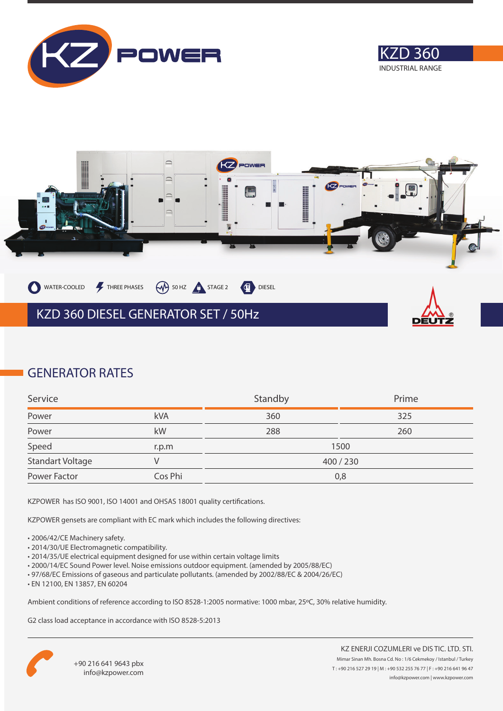





## **GENERATOR RATES**

| Service          |         | Standby | Prime |
|------------------|---------|---------|-------|
| Power            | kVA     | 360     | 325   |
| Power            | kW      | 288     | 260   |
| Speed            | r.p.m   |         | 1500  |
| Standart Voltage |         | 400/230 |       |
| Power Factor     | Cos Phi | 0,8     |       |

KZPOWER has ISO 9001, ISO 14001 and OHSAS 18001 quality certifications.

KZPOWER gensets are compliant with EC mark which includes the following directives:

- 2006/42/CE Machinery safety.
- 2014/30/UE Electromagnetic compatibility.
- 2014/35/UE electrical equipment designed for use within certain voltage limits
- 2000/14/EC Sound Power level. Noise emissions outdoor equipment. (amended by 2005/88/EC)
- 97/68/EC Emissions of gaseous and particulate pollutants. (amended by 2002/88/EC & 2004/26/EC)
- EN 12100, EN 13857, EN 60204

Ambient conditions of reference according to ISO 8528-1:2005 normative: 1000 mbar, 25ºC, 30% relative humidity.

G2 class load acceptance in accordance with ISO 8528-5:2013

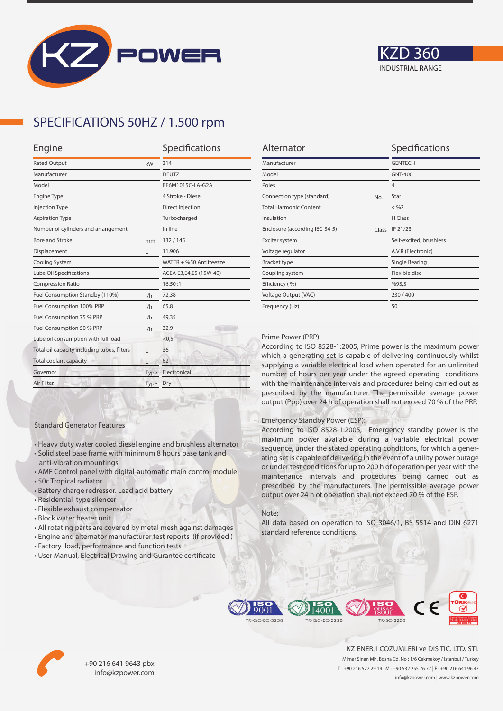



## **SPECIFICATIONS 50HZ / 1.500 rpm**

| Engine                                           |                         |  |
|--------------------------------------------------|-------------------------|--|
| <b>Rated Output</b><br>kW                        |                         |  |
| Manufacturer                                     |                         |  |
|                                                  | BF6M1015C-LA-G2A        |  |
|                                                  | 4 Stroke - Diesel       |  |
|                                                  | Direct Injection        |  |
|                                                  | Turbocharged            |  |
|                                                  | In line                 |  |
| mm                                               | 132/145                 |  |
| L                                                | 11,906                  |  |
|                                                  | WATER + %50 Antifreezze |  |
| Lube Oil Specifications                          |                         |  |
|                                                  | 16.50:1                 |  |
| 1/h                                              | 72,38                   |  |
| 1/h                                              | 65,8                    |  |
| 1/h                                              | 49,35                   |  |
| 1/h                                              | 32,9                    |  |
| Lube oil consumption with full load              |                         |  |
| Total oil capacity including tubes, filters<br>L |                         |  |
|                                                  | 62                      |  |
| Type                                             | Electronical            |  |
| Type                                             | Dry                     |  |
|                                                  |                         |  |

| Alternator                              | Specifications          |
|-----------------------------------------|-------------------------|
| Manufacturer                            | <b>GENTECH</b>          |
| Model                                   | <b>GNT-400</b>          |
| Poles                                   | $\overline{4}$          |
| Connection type (standard)<br>No.       | Star                    |
| <b>Total Harmonic Content</b>           | $<$ %2                  |
| Insulation                              | H Class                 |
| Enclosure (according IEC-34-5)<br>Class | IP 21/23                |
| Exciter system                          | Self-excited, brushless |
| Voltage regulator                       | A.V.R (Electronic)      |
| <b>Bracket type</b>                     | Single Bearing          |
| Coupling system                         | Flexible disc           |
| Efficiency (%)                          | %93,3                   |
| Voltage Output (VAC)                    | 230/400                 |
| Frequency (Hz)                          | 50                      |
|                                         |                         |

#### Prime Power (PRP):

According to ISO 8528-1:2005, Prime power is the maximum power which a generating set is capable of delivering continuously whilst supplying a variable electrical load when operated for an unlimited number of hours per year under the agreed operating conditions with the maintenance intervals and procedures being carried out as prescribed by the manufacturer. The permissible average power output (Ppp) over 24 h of operation shall not exceed 70 % of the PRP.

#### Emergency Standby Power (ESP):

According to ISO 8528-1:2005, Emergency standby power is the maximum power available during a variable electrical power sequence, under the stated operating conditions, for which a generating set is capable of delivering in the event of a utility power outage or under test conditions for up to 200 h of operation per year with the maintenance intervals and procedures being carried out as prescribed by the manufacturers. The permissible average power output over 24 h of operation shall not exceed 70 % of the ESP.

#### Note:

All data based on operation to ISO 3046/1, BS 5514 and DIN 6271 standard reference conditions.



• All rotating parts are covered by metal mesh against damages

• Heavy duty water cooled diesel engine and brushless alternator • Solid steel base frame with minimum 8 hours base tank and

• AMF Control panel with digital-automatic main control module

• User Manual, Electrical Drawing and Gurantee certificate

Standard Generator Features

anti-vibration mountings

• Residential type silencer • Flexible exhaust compensator • Block water heater unit

• Battery charge redressor. Lead acid battery

• 50c Tropical radiator





+90 216 641 9643 pbx info@kzpower.com

KZ ENERJI COZUMLERI ve DIS TIC. LTD. STI. Mimar Sinan Mh. Bosna Cd. No : 1/6 Cekmekoy / Istanbul / Turkey T : +90 216 527 29 19 | M : +90 532 255 76 77 | F : +90 216 641 96 47 info@kzpower.com | www.kzpower.com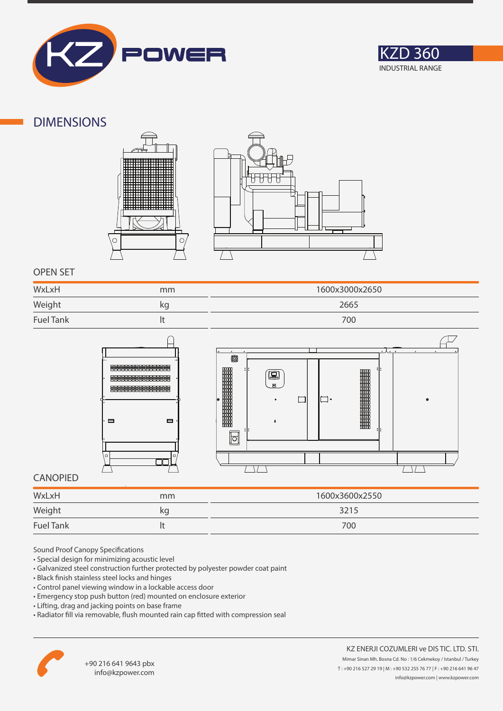



### **DIMENSIONS**





### **OPEN SET**

| WxLxH            | mm | 1600x3000x2650 |
|------------------|----|----------------|
| Weight           | kg | 2665           |
| <b>Fuel Tank</b> |    | 700            |





### **CANOPIED**

| WxLxH                                                                                                                                                                                                                                          | mm | 1600x3600x2550 |
|------------------------------------------------------------------------------------------------------------------------------------------------------------------------------------------------------------------------------------------------|----|----------------|
| Weight<br><u> and the contract of the contract of the contract of the contract of the contract of the contract of the contract of the contract of the contract of the contract of the contract of the contract of the contract of the cont</u> | kg | 3215           |
| <b>Fuel Tank</b>                                                                                                                                                                                                                               |    | 700            |

Sound Proof Canopy Specifications

- Special design for minimizing acoustic level
- Galvanized steel construction further protected by polyester powder coat paint
- Black finish stainless steel locks and hinges
- Control panel viewing window in a lockable access door
- Emergency stop push button (red) mounted on enclosure exterior
- Lifting, drag and jacking points on base frame
- Radiator fill via removable, flush mounted rain cap fitted with compression seal